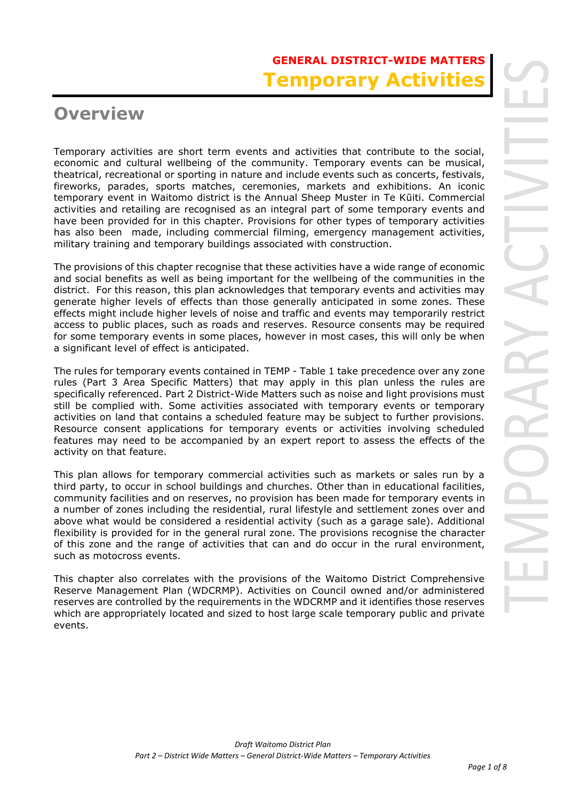# **GENERAL DISTRICT-WIDE MATTERS Temporary Activiti**

# **Overview**

Temporary activities are short term events and activities that contribute to the social, economic and cultural wellbeing of the community. Temporary events can be musical, theatrical, recreational or sporting in nature and include events such as concerts, festivals, fireworks, parades, sports matches, ceremonies, markets and exhibitions. An iconic temporary event in Waitomo district is the Annual Sheep Muster in Te Kūiti. Commercial activities and retailing are recognised as an integral part of some temporary events and have been provided for in this chapter. Provisions for other types of temporary activities has also been made, including commercial filming, emergency management activities, military training and temporary buildings associated with construction.

The provisions of this chapter recognise that these activities have a wide range of economic and social benefits as well as being important for the wellbeing of the communities in the district. For this reason, this plan acknowledges that temporary events and activities may generate higher levels of effects than those generally anticipated in some zones. These effects might include higher levels of noise and traffic and events may temporarily restrict access to public places, such as roads and reserves. Resource consents may be required for some temporary events in some places, however in most cases, this will only be when a significant level of effect is anticipated.

The rules for temporary events contained in TEMP - Table 1 take precedence over any zone rules (Part 3 Area Specific Matters) that may apply in this plan unless the rules are specifically referenced. Part 2 District-Wide Matters such as noise and light provisions must still be complied with. Some activities associated with temporary events or temporary activities on land that contains a scheduled feature may be subject to further provisions. Resource consent applications for temporary events or activities involving scheduled features may need to be accompanied by an expert report to assess the effects of the activity on that feature.

This plan allows for temporary commercial activities such as markets or sales run by a third party, to occur in school buildings and churches. Other than in educational facilities, community facilities and on reserves, no provision has been made for temporary events in a number of zones including the residential, rural lifestyle and settlement zones over and above what would be considered a residential activity (such as a garage sale). Additional flexibility is provided for in the general rural zone. The provisions recognise the character of this zone and the range of activities that can and do occur in the rural environment, such as motocross events.

This chapter also correlates with the provisions of the Waitomo District Comprehensive Reserve Management Plan (WDCRMP). Activities on Council owned and/or administered reserves are controlled by the requirements in the WDCRMP and it identifies those reserves which are appropriately located and sized to host large scale temporary public and private events.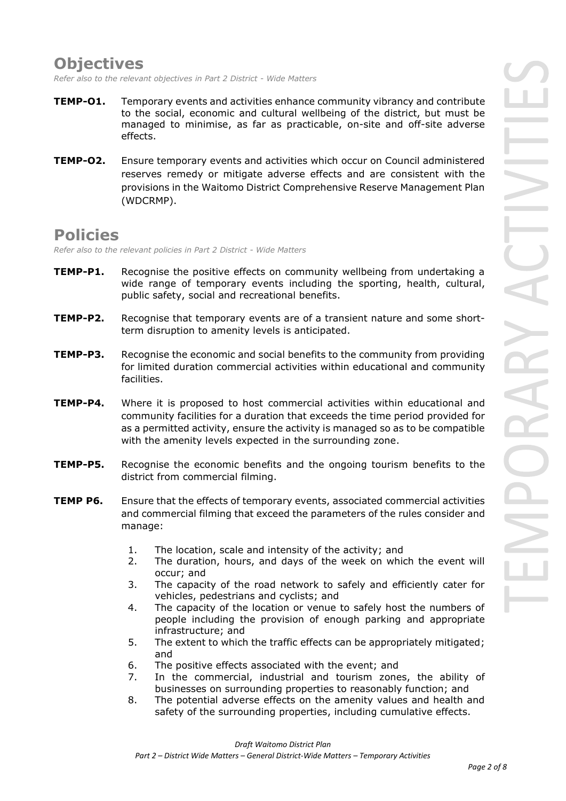## **Objectives**

*Refer also to the relevant objectives in Part 2 District - Wide Matters* 

- **TEMP-O1.** Temporary events and activities enhance community vibrancy and contribute to the social, economic and cultural wellbeing of the district, but must be managed to minimise, as far as practicable, on-site and off-site adverse effects.
- **TEMP-O2.** Ensure temporary events and activities which occur on Council administered reserves remedy or mitigate adverse effects and are consistent with the provisions in the Waitomo District Comprehensive Reserve Management Plan (WDCRMP).

### **Policies**

*Refer also to the relevant policies in Part 2 District - Wide Matters* 

- **TEMP-P1.** Recognise the positive effects on community wellbeing from undertaking a wide range of temporary events including the sporting, health, cultural, public safety, social and recreational benefits.
- **TEMP-P2.** Recognise that temporary events are of a transient nature and some shortterm disruption to amenity levels is anticipated.
- **TEMP-P3.** Recognise the economic and social benefits to the community from providing for limited duration commercial activities within educational and community facilities.
- **TEMP-P4.** Where it is proposed to host commercial activities within educational and community facilities for a duration that exceeds the time period provided for as a permitted activity, ensure the activity is managed so as to be compatible with the amenity levels expected in the surrounding zone.
- **TEMP-P5.** Recognise the economic benefits and the ongoing tourism benefits to the district from commercial filming.
- **TEMP P6.** Ensure that the effects of temporary events, associated commercial activities and commercial filming that exceed the parameters of the rules consider and manage:
	- 1. The location, scale and intensity of the activity; and
	- 2. The duration, hours, and days of the week on which the event will occur; and
	- 3. The capacity of the road network to safely and efficiently cater for vehicles, pedestrians and cyclists; and
	- 4. The capacity of the location or venue to safely host the numbers of people including the provision of enough parking and appropriate infrastructure; and
	- 5. The extent to which the traffic effects can be appropriately mitigated; and
	- 6. The positive effects associated with the event; and
	- 7. In the commercial, industrial and tourism zones, the ability of businesses on surrounding properties to reasonably function; and
	- 8. The potential adverse effects on the amenity values and health and safety of the surrounding properties, including cumulative effects.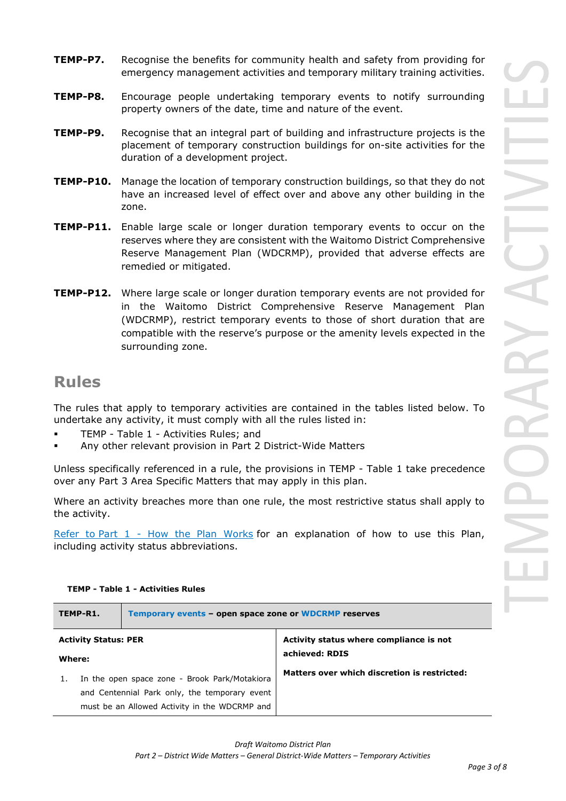- **TEMP-P7.** Recognise the benefits for community health and safety from providing for emergency management activities and temporary military training activities.
- **TEMP-P8.** Encourage people undertaking temporary events to notify surrounding property owners of the date, time and nature of the event.
- **TEMP-P9.** Recognise that an integral part of building and infrastructure projects is the placement of temporary construction buildings for on-site activities for the duration of a development project.
- **TEMP-P10.** Manage the location of temporary construction buildings, so that they do not have an increased level of effect over and above any other building in the zone.
- **TEMP-P11.** Enable large scale or longer duration temporary events to occur on the reserves where they are consistent with the Waitomo District Comprehensive Reserve Management Plan (WDCRMP), provided that adverse effects are remedied or mitigated.
- **TEMP-P12.** Where large scale or longer duration temporary events are not provided for in the Waitomo District Comprehensive Reserve Management Plan (WDCRMP), restrict temporary events to those of short duration that are compatible with the reserve's purpose or the amenity levels expected in the surrounding zone.

### **Rules**

The rules that apply to temporary activities are contained in the tables listed below. To undertake any activity, it must comply with all the rules listed in:

- TEMP Table 1 Activities Rules; and
- Any other relevant provision in Part 2 District-Wide Matters

Unless specifically referenced in a rule, the provisions in TEMP - Table 1 take precedence over any Part 3 Area Specific Matters that may apply in this plan.

Where an activity breaches more than one rule, the most restrictive status shall apply to the activity.

Refer to [Part 1](javascript:void(0)) - How the Plan Works for an explanation of how to use this Plan, including activity status abbreviations.

|                             | TEMP-R1.                                      | Temporary events - open space zone or WDCRMP reserves |                                              |  |  |
|-----------------------------|-----------------------------------------------|-------------------------------------------------------|----------------------------------------------|--|--|
| <b>Activity Status: PER</b> |                                               |                                                       | Activity status where compliance is not      |  |  |
| Where:                      |                                               |                                                       | achieved: RDIS                               |  |  |
|                             |                                               | In the open space zone - Brook Park/Motakiora         | Matters over which discretion is restricted: |  |  |
|                             | and Centennial Park only, the temporary event |                                                       |                                              |  |  |
|                             |                                               | must be an Allowed Activity in the WDCRMP and         |                                              |  |  |

#### **TEMP - Table 1 - Activities Rules**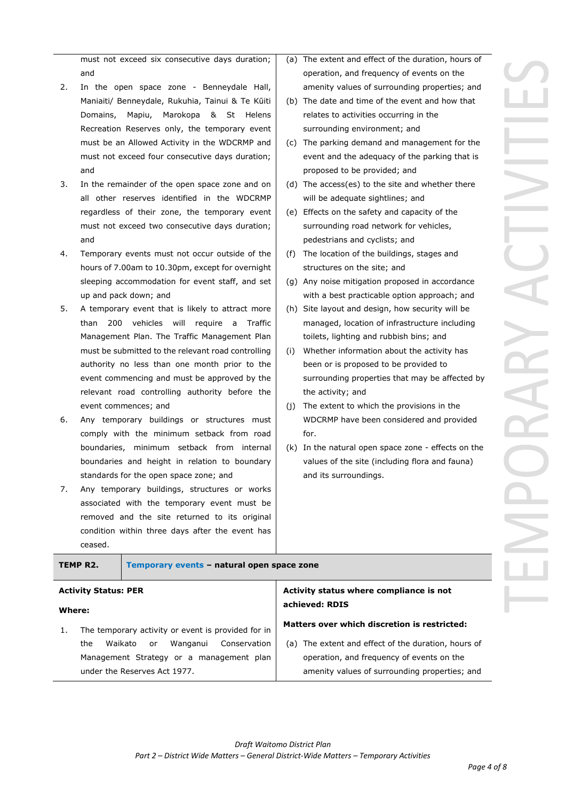must not exceed six consecutive days duration; and

- 2. In the open space zone Benneydale Hall, Maniaiti/ Benneydale, Rukuhia, Tainui & Te Kūiti Domains, Mapiu, Marokopa & St Helens Recreation Reserves only, the temporary event must be an Allowed Activity in the WDCRMP and must not exceed four consecutive days duration; and
- 3. In the remainder of the open space zone and on all other reserves identified in the WDCRMP regardless of their zone, the temporary event must not exceed two consecutive days duration; and
- 4. Temporary events must not occur outside of the hours of 7.00am to 10.30pm, except for overnight sleeping accommodation for event staff, and set up and pack down; and
- 5. A temporary event that is likely to attract more than 200 vehicles will require a Traffic Management Plan. The Traffic Management Plan must be submitted to the relevant road controlling authority no less than one month prior to the event commencing and must be approved by the relevant road controlling authority before the event commences; and
- 6. Any temporary buildings or structures must comply with the minimum setback from road boundaries, minimum setback from internal boundaries and height in relation to boundary standards for the open space zone; and
- 7. Any temporary buildings, structures or works associated with the temporary event must be removed and the site returned to its original condition within three days after the event has ceased.
- (a) The extent and effect of the duration, hours of operation, and frequency of events on the amenity values of surrounding properties; and
- (b) The date and time of the event and how that relates to activities occurring in the surrounding environment; and
- (c) The parking demand and management for the event and the adequacy of the parking that is proposed to be provided; and
- (d) The access(es) to the site and whether there will be adequate sightlines; and
- (e) Effects on the safety and capacity of the surrounding road network for vehicles, pedestrians and cyclists; and
- (f) The location of the buildings, stages and structures on the site; and
- (g) Any noise mitigation proposed in accordance with a best practicable option approach; and
- (h) Site layout and design, how security will be managed, location of infrastructure including toilets, lighting and rubbish bins; and
- (i) Whether information about the activity has been or is proposed to be provided to surrounding properties that may be affected by the activity; and
- (j) The extent to which the provisions in the WDCRMP have been considered and provided for.
- (k) In the natural open space zone effects on the values of the site (including flora and fauna) and its surroundings.

|        | TEMP R2.                    | Temporary events - natural open space zone         |                |                                                     |  |
|--------|-----------------------------|----------------------------------------------------|----------------|-----------------------------------------------------|--|
|        | <b>Activity Status: PER</b> |                                                    |                | Activity status where compliance is not             |  |
| Where: |                             |                                                    | achieved: RDIS |                                                     |  |
|        |                             | The temporary activity or event is provided for in |                | Matters over which discretion is restricted:        |  |
|        | the                         | Wanganui<br>Waikato<br><b>or</b>                   | Conservation   | (a) The extent and effect of the duration, hours of |  |
|        |                             | Management Strategy or a management plan           |                | operation, and frequency of events on the           |  |
|        |                             | under the Reserves Act 1977.                       |                | amenity values of surrounding properties; and       |  |
|        |                             |                                                    |                |                                                     |  |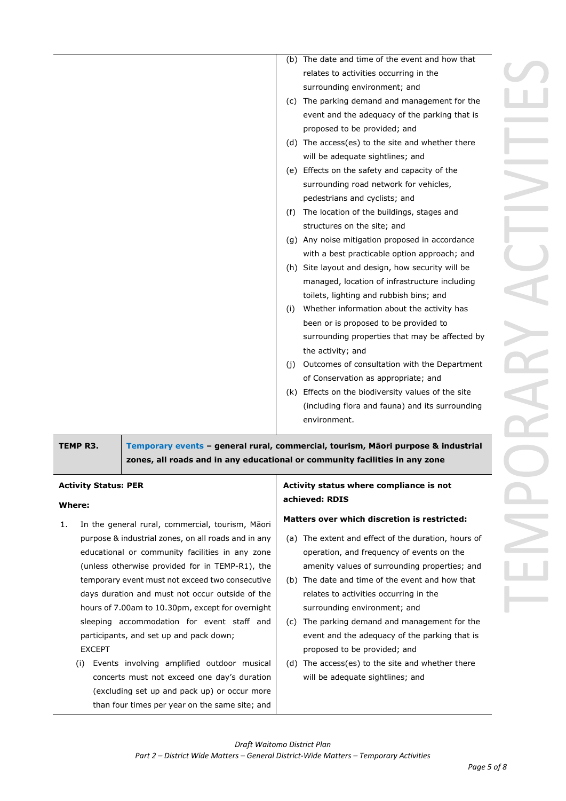|     | (b) The date and time of the event and how that    |
|-----|----------------------------------------------------|
|     | relates to activities occurring in the             |
|     | surrounding environment; and                       |
|     | (c) The parking demand and management for the      |
|     | event and the adequacy of the parking that is      |
|     | proposed to be provided; and                       |
|     | (d) The access(es) to the site and whether there   |
|     | will be adequate sightlines; and                   |
|     | (e) Effects on the safety and capacity of the      |
|     | surrounding road network for vehicles,             |
|     | pedestrians and cyclists; and                      |
| (f) | The location of the buildings, stages and          |
|     | structures on the site; and                        |
|     | (g) Any noise mitigation proposed in accordance    |
|     | with a best practicable option approach; and       |
|     | (h) Site layout and design, how security will be   |
|     | managed, location of infrastructure including      |
|     | toilets, lighting and rubbish bins; and            |
| (i) | Whether information about the activity has         |
|     | been or is proposed to be provided to              |
|     | surrounding properties that may be affected by     |
|     | the activity; and                                  |
| (i) | Outcomes of consultation with the Department       |
|     | of Conservation as appropriate; and                |
|     | (k) Effects on the biodiversity values of the site |
|     | (including flora and fauna) and its surrounding    |
|     | environment.                                       |
|     |                                                    |

**TEMP R3. Temporary events – general rural, commercial, tourism, Māori purpose & industrial zones, all roads and in any educational or community facilities in any zone**

#### **Activity Status: PER**

#### **Where:**

- 1. In the general rural, commercial, tourism, Māori purpose & industrial zones, on all roads and in any educational or community facilities in any zone (unless otherwise provided for in TEMP-R1), the temporary event must not exceed two consecutive days duration and must not occur outside of the hours of 7.00am to 10.30pm, except for overnight sleeping accommodation for event staff and participants, and set up and pack down; EXCEPT
	- (i) Events involving amplified outdoor musical concerts must not exceed one day's duration (excluding set up and pack up) or occur more than four times per year on the same site; and

#### **Activity status where compliance is not achieved: RDIS**

#### **Matters over which discretion is restricted:**

- (a) The extent and effect of the duration, hours of operation, and frequency of events on the amenity values of surrounding properties; and
- (b) The date and time of the event and how that relates to activities occurring in the surrounding environment; and
- (c) The parking demand and management for the event and the adequacy of the parking that is proposed to be provided; and
- (d) The access(es) to the site and whether there will be adequate sightlines; and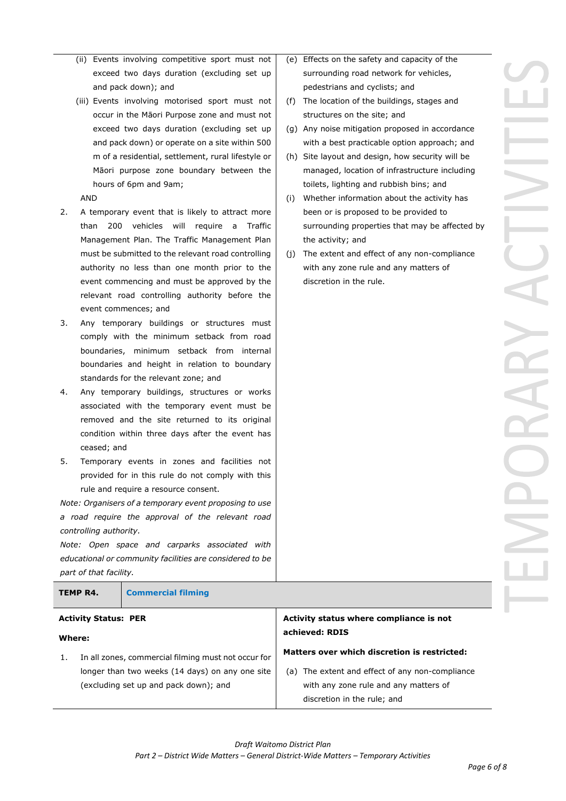- (ii) Events involving competitive sport must not exceed two days duration (excluding set up and pack down); and
- (iii) Events involving motorised sport must not occur in the Māori Purpose zone and must not exceed two days duration (excluding set up and pack down) or operate on a site within 500 m of a residential, settlement, rural lifestyle or Māori purpose zone boundary between the hours of 6pm and 9am;

#### AND

- 2. A temporary event that is likely to attract more than 200 vehicles will require a Traffic Management Plan. The Traffic Management Plan must be submitted to the relevant road controlling authority no less than one month prior to the event commencing and must be approved by the relevant road controlling authority before the event commences; and
- 3. Any temporary buildings or structures must comply with the minimum setback from road boundaries, minimum setback from internal boundaries and height in relation to boundary standards for the relevant zone; and
- 4. Any temporary buildings, structures or works associated with the temporary event must be removed and the site returned to its original condition within three days after the event has ceased; and
- 5. Temporary events in zones and facilities not provided for in this rule do not comply with this rule and require a resource consent.

*Note: Organisers of a temporary event proposing to use a road require the approval of the relevant road controlling authority.* 

*Note: Open space and carparks associated with educational or community facilities are considered to be part of that facility.*

| TEMP R4.<br><b>Commercial filming</b> |  |                                         |  |
|---------------------------------------|--|-----------------------------------------|--|
| <b>Activity Status: PER</b>           |  | Activity status where compliance is not |  |

### **Where:**

1. In all zones, commercial filming must not occur for longer than two weeks (14 days) on any one site (excluding set up and pack down); and

- (e) Effects on the safety and capacity of the surrounding road network for vehicles, pedestrians and cyclists; and
- (f) The location of the buildings, stages and structures on the site; and
- (g) Any noise mitigation proposed in accordance with a best practicable option approach; and
- (h) Site layout and design, how security will be managed, location of infrastructure including toilets, lighting and rubbish bins; and
- (i) Whether information about the activity has been or is proposed to be provided to surrounding properties that may be affected by the activity; and
- (j) The extent and effect of any non-compliance with any zone rule and any matters of discretion in the rule.

**achieved: RDIS**

**Matters over which discretion is restricted:**

discretion in the rule; and

(a) The extent and effect of any non-compliance with any zone rule and any matters of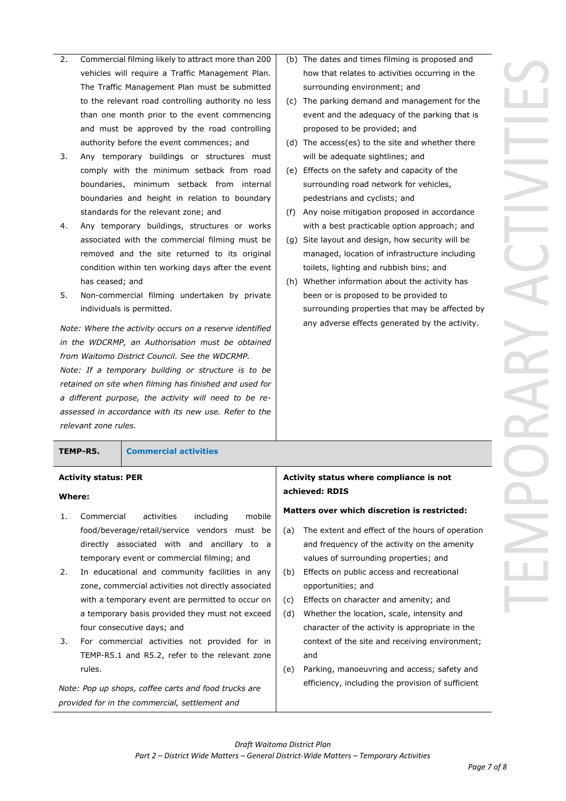- 2. Commercial filming likely to attract more than 200 vehicles will require a Traffic Management Plan. The Traffic Management Plan must be submitted to the relevant road controlling authority no less than one month prior to the event commencing and must be approved by the road controlling authority before the event commences; and
- 3. Any temporary buildings or structures must comply with the minimum setback from road boundaries, minimum setback from internal boundaries and height in relation to boundary standards for the relevant zone; and
- 4. Any temporary buildings, structures or works associated with the commercial filming must be removed and the site returned to its original condition within ten working days after the event has ceased; and
- 5. Non-commercial filming undertaken by private individuals is permitted.

*Note: Where the activity occurs on a reserve identified in the WDCRMP, an Authorisation must be obtained from Waitomo District Council. See the WDCRMP.*

*Note: If a temporary building or structure is to be retained on site when filming has finished and used for a different purpose, the activity will need to be reassessed in accordance with its new use. Refer to the relevant zone rules.*

**TEMP-R5. Commercial activities**

#### **Activity status: PER**

#### **Where:**

- 1. Commercial activities including mobile food/beverage/retail/service vendors must be directly associated with and ancillary to a temporary event or commercial filming; and
- 2. In educational and community facilities in any zone, commercial activities not directly associated with a temporary event are permitted to occur on a temporary basis provided they must not exceed four consecutive days; and
- 3. For commercial activities not provided for in TEMP-R5.1 and R5.2, refer to the relevant zone rules.

*Note: Pop up shops, coffee carts and food trucks are provided for in the commercial, settlement and* 

- (b) The dates and times filming is proposed and how that relates to activities occurring in the surrounding environment; and
- (c) The parking demand and management for the event and the adequacy of the parking that is proposed to be provided; and
- (d) The access(es) to the site and whether there will be adequate sightlines; and
- (e) Effects on the safety and capacity of the surrounding road network for vehicles, pedestrians and cyclists; and
- (f) Any noise mitigation proposed in accordance with a best practicable option approach; and
- (g) Site layout and design, how security will be managed, location of infrastructure including toilets, lighting and rubbish bins; and
- (h) Whether information about the activity has been or is proposed to be provided to surrounding properties that may be affected by any adverse effects generated by the activity.

#### **Activity status where compliance is not achieved: RDIS**

#### **Matters over which discretion is restricted:**

- (a) The extent and effect of the hours of operation and frequency of the activity on the amenity values of surrounding properties; and
- (b) Effects on public access and recreational opportunities; and
- (c) Effects on character and amenity; and
- (d) Whether the location, scale, intensity and character of the activity is appropriate in the context of the site and receiving environment; and
- (e) Parking, manoeuvring and access; safety and efficiency, including the provision of sufficient